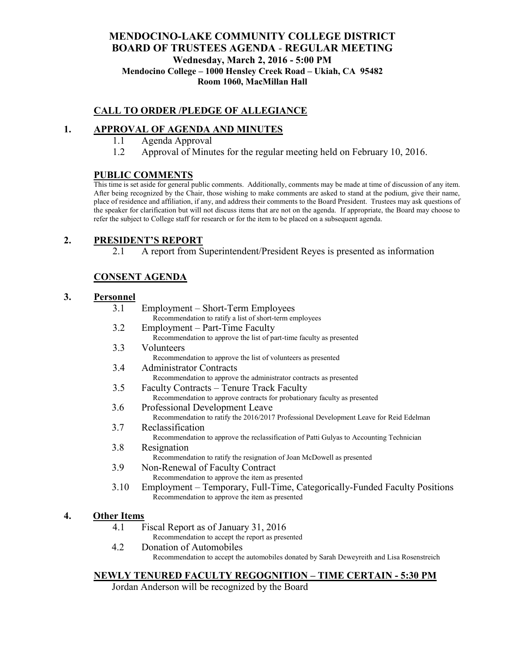## **MENDOCINO-LAKE COMMUNITY COLLEGE DISTRICT BOARD OF TRUSTEES AGENDA** - **REGULAR MEETING Wednesday, March 2, 2016 - 5:00 PM Mendocino College – 1000 Hensley Creek Road – Ukiah, CA 95482 Room 1060, MacMillan Hall**

## **CALL TO ORDER /PLEDGE OF ALLEGIANCE**

## **1. APPROVAL OF AGENDA AND MINUTES**

- 1.1 Agenda Approval
- 1.2 Approval of Minutes for the regular meeting held on February 10, 2016.

## **PUBLIC COMMENTS**

This time is set aside for general public comments. Additionally, comments may be made at time of discussion of any item. After being recognized by the Chair, those wishing to make comments are asked to stand at the podium, give their name, place of residence and affiliation, if any, and address their comments to the Board President. Trustees may ask questions of the speaker for clarification but will not discuss items that are not on the agenda. If appropriate, the Board may choose to refer the subject to College staff for research or for the item to be placed on a subsequent agenda.

## **2. PRESIDENT'S REPORT**

2.1 A report from Superintendent/President Reyes is presented as information

# **CONSENT AGENDA**

#### **3. Personnel**

3.1 Employment – Short-Term Employees Recommendation to ratify a list of short-term employees 3.2 Employment – Part-Time Faculty Recommendation to approve the list of part-time faculty as presented 3.3 Volunteers Recommendation to approve the list of volunteers as presented 3.4 Administrator Contracts Recommendation to approve the administrator contracts as presented 3.5 Faculty Contracts – Tenure Track Faculty Recommendation to approve contracts for probationary faculty as presented 3.6 Professional Development Leave Recommendation to ratify the 2016/2017 Professional Development Leave for Reid Edelman 3.7 Reclassification Recommendation to approve the reclassification of Patti Gulyas to Accounting Technician 3.8 Resignation Recommendation to ratify the resignation of Joan McDowell as presented 3.9 Non-Renewal of Faculty Contract Recommendation to approve the item as presented 3.10 Employment – Temporary, Full-Time, Categorically-Funded Faculty Positions Recommendation to approve the item as presented

# **4. Other Items**

4.1 Fiscal Report as of January 31, 2016

Recommendation to accept the report as presented

4.2 Donation of Automobiles

Recommendation to accept the automobiles donated by Sarah Deweyreith and Lisa Rosenstreich

### **NEWLY TENURED FACULTY REGOGNITION – TIME CERTAIN - 5:30 PM**

Jordan Anderson will be recognized by the Board